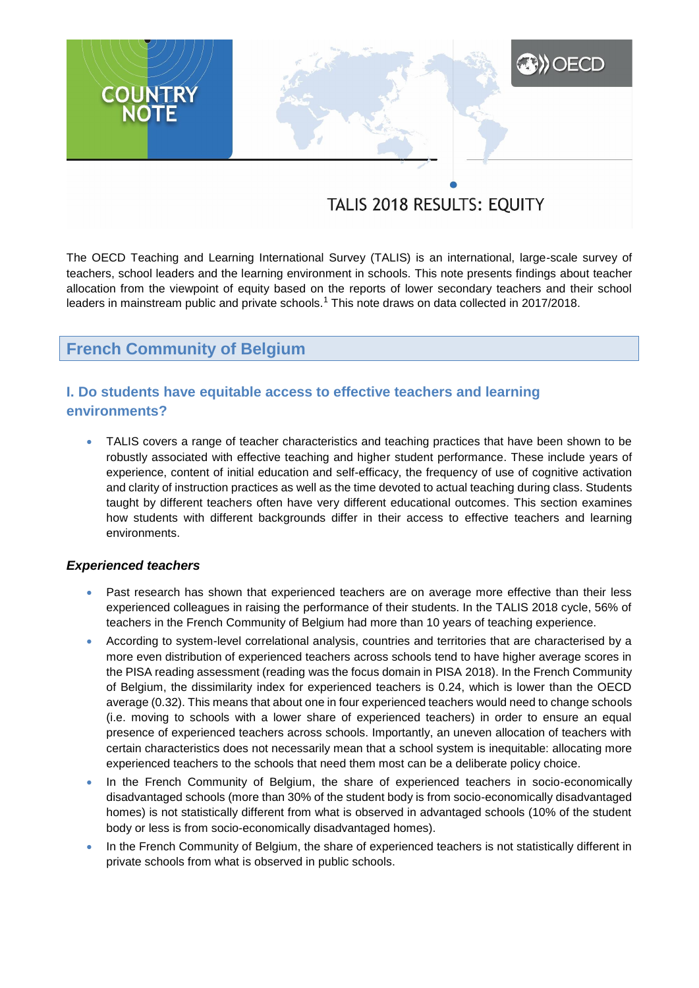# **XXX** OECD **COUNTRY**

# TALIS 2018 RESULTS: EQUITY

The OECD Teaching and Learning International Survey (TALIS) is an international, large-scale survey of teachers, school leaders and the learning environment in schools. This note presents findings about teacher allocation from the viewpoint of equity based on the reports of lower secondary teachers and their school leaders in mainstream public and private schools.<sup>1</sup> This note draws on data collected in 2017/2018.

# **French Community of Belgium**

# **I. Do students have equitable access to effective teachers and learning environments?**

 TALIS covers a range of teacher characteristics and teaching practices that have been shown to be robustly associated with effective teaching and higher student performance. These include years of experience, content of initial education and self-efficacy, the frequency of use of cognitive activation and clarity of instruction practices as well as the time devoted to actual teaching during class. Students taught by different teachers often have very different educational outcomes. This section examines how students with different backgrounds differ in their access to effective teachers and learning environments.

# *Experienced teachers*

- Past research has shown that experienced teachers are on average more effective than their less experienced colleagues in raising the performance of their students. In the TALIS 2018 cycle, 56% of teachers in the French Community of Belgium had more than 10 years of teaching experience.
- According to system-level correlational analysis, countries and territories that are characterised by a more even distribution of experienced teachers across schools tend to have higher average scores in the PISA reading assessment (reading was the focus domain in PISA 2018). In the French Community of Belgium, the dissimilarity index for experienced teachers is 0.24, which is lower than the OECD average (0.32). This means that about one in four experienced teachers would need to change schools (i.e. moving to schools with a lower share of experienced teachers) in order to ensure an equal presence of experienced teachers across schools. Importantly, an uneven allocation of teachers with certain characteristics does not necessarily mean that a school system is inequitable: allocating more experienced teachers to the schools that need them most can be a deliberate policy choice.
- In the French Community of Belgium, the share of experienced teachers in socio-economically disadvantaged schools (more than 30% of the student body is from socio-economically disadvantaged homes) is not statistically different from what is observed in advantaged schools (10% of the student body or less is from socio-economically disadvantaged homes).
- In the French Community of Belgium, the share of experienced teachers is not statistically different in private schools from what is observed in public schools.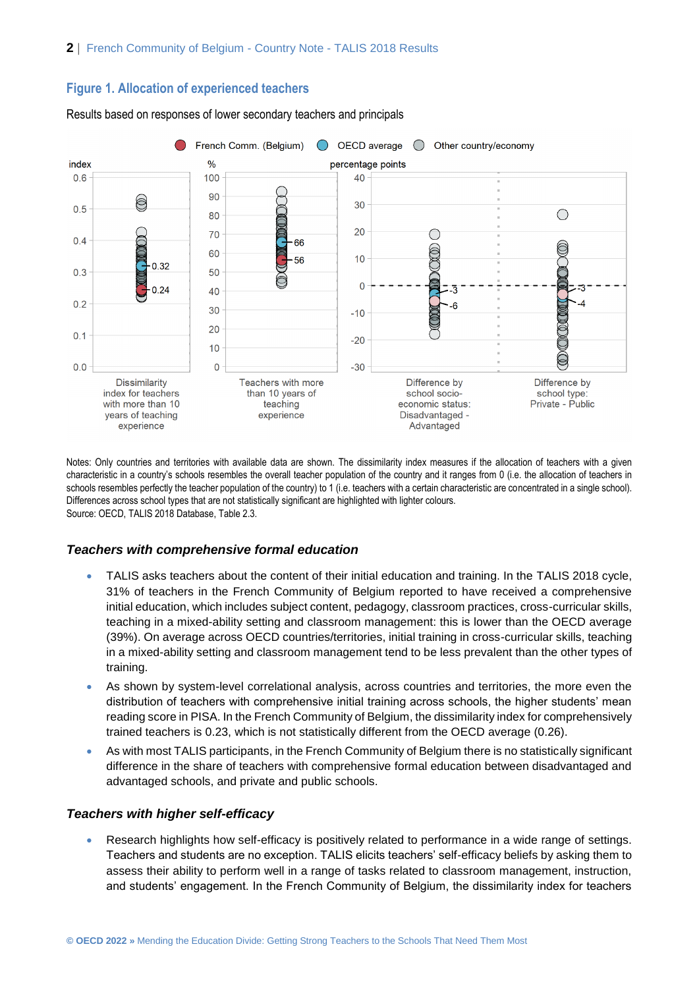## **Figure 1. Allocation of experienced teachers**





Notes: Only countries and territories with available data are shown. The dissimilarity index measures if the allocation of teachers with a given characteristic in a country's schools resembles the overall teacher population of the country and it ranges from 0 (i.e. the allocation of teachers in schools resembles perfectly the teacher population of the country) to 1 (i.e. teachers with a certain characteristic are concentrated in a single school). Differences across school types that are not statistically significant are highlighted with lighter colours. Source: OECD, TALIS 2018 Database, Table 2.3.

#### *Teachers with comprehensive formal education*

- TALIS asks teachers about the content of their initial education and training. In the TALIS 2018 cycle, 31% of teachers in the French Community of Belgium reported to have received a comprehensive initial education, which includes subject content, pedagogy, classroom practices, cross-curricular skills, teaching in a mixed-ability setting and classroom management: this is lower than the OECD average (39%). On average across OECD countries/territories, initial training in cross-curricular skills, teaching in a mixed-ability setting and classroom management tend to be less prevalent than the other types of training.
- As shown by system-level correlational analysis, across countries and territories, the more even the distribution of teachers with comprehensive initial training across schools, the higher students' mean reading score in PISA. In the French Community of Belgium, the dissimilarity index for comprehensively trained teachers is 0.23, which is not statistically different from the OECD average (0.26).
- As with most TALIS participants, in the French Community of Belgium there is no statistically significant difference in the share of teachers with comprehensive formal education between disadvantaged and advantaged schools, and private and public schools.

#### *Teachers with higher self-efficacy*

 Research highlights how self-efficacy is positively related to performance in a wide range of settings. Teachers and students are no exception. TALIS elicits teachers' self-efficacy beliefs by asking them to assess their ability to perform well in a range of tasks related to classroom management, instruction, and students' engagement. In the French Community of Belgium, the dissimilarity index for teachers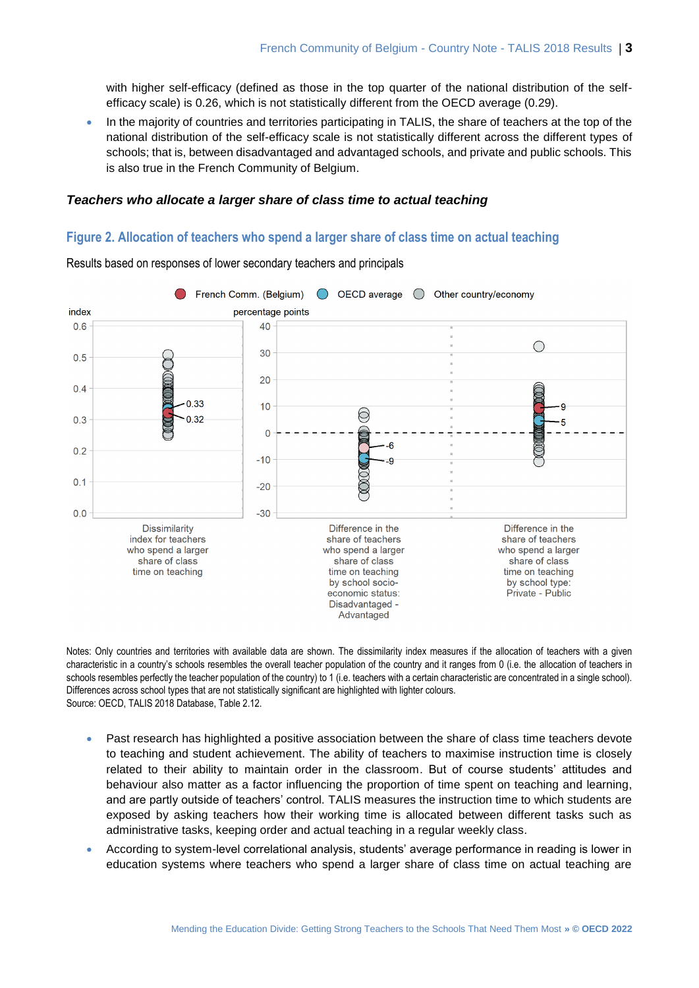with higher self-efficacy (defined as those in the top quarter of the national distribution of the selfefficacy scale) is 0.26, which is not statistically different from the OECD average (0.29).

 In the majority of countries and territories participating in TALIS, the share of teachers at the top of the national distribution of the self-efficacy scale is not statistically different across the different types of schools; that is, between disadvantaged and advantaged schools, and private and public schools. This is also true in the French Community of Belgium.

## *Teachers who allocate a larger share of class time to actual teaching*

# **Figure 2. Allocation of teachers who spend a larger share of class time on actual teaching**



Results based on responses of lower secondary teachers and principals

Notes: Only countries and territories with available data are shown. The dissimilarity index measures if the allocation of teachers with a given characteristic in a country's schools resembles the overall teacher population of the country and it ranges from 0 (i.e. the allocation of teachers in schools resembles perfectly the teacher population of the country) to 1 (i.e. teachers with a certain characteristic are concentrated in a single school). Differences across school types that are not statistically significant are highlighted with lighter colours. Source: OECD, TALIS 2018 Database, Table 2.12.

- Past research has highlighted a positive association between the share of class time teachers devote to teaching and student achievement. The ability of teachers to maximise instruction time is closely related to their ability to maintain order in the classroom. But of course students' attitudes and behaviour also matter as a factor influencing the proportion of time spent on teaching and learning, and are partly outside of teachers' control. TALIS measures the instruction time to which students are exposed by asking teachers how their working time is allocated between different tasks such as administrative tasks, keeping order and actual teaching in a regular weekly class.
- According to system-level correlational analysis, students' average performance in reading is lower in education systems where teachers who spend a larger share of class time on actual teaching are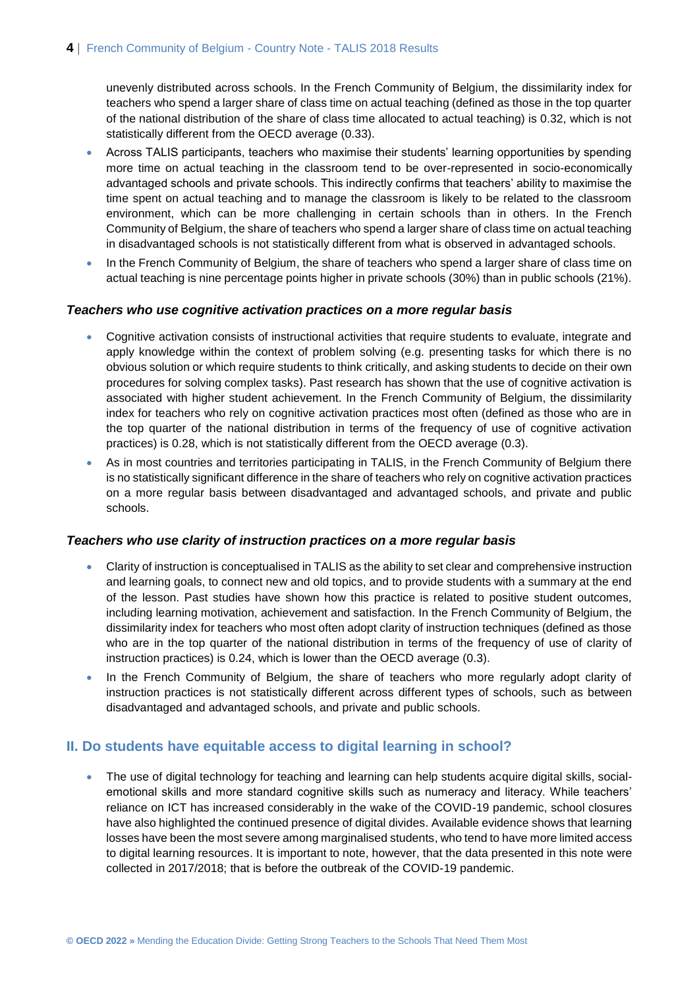unevenly distributed across schools. In the French Community of Belgium, the dissimilarity index for teachers who spend a larger share of class time on actual teaching (defined as those in the top quarter of the national distribution of the share of class time allocated to actual teaching) is 0.32, which is not statistically different from the OECD average (0.33).

- Across TALIS participants, teachers who maximise their students' learning opportunities by spending more time on actual teaching in the classroom tend to be over-represented in socio-economically advantaged schools and private schools. This indirectly confirms that teachers' ability to maximise the time spent on actual teaching and to manage the classroom is likely to be related to the classroom environment, which can be more challenging in certain schools than in others. In the French Community of Belgium, the share of teachers who spend a larger share of class time on actual teaching in disadvantaged schools is not statistically different from what is observed in advantaged schools.
- In the French Community of Belgium, the share of teachers who spend a larger share of class time on actual teaching is nine percentage points higher in private schools (30%) than in public schools (21%).

#### *Teachers who use cognitive activation practices on a more regular basis*

- Cognitive activation consists of instructional activities that require students to evaluate, integrate and apply knowledge within the context of problem solving (e.g. presenting tasks for which there is no obvious solution or which require students to think critically, and asking students to decide on their own procedures for solving complex tasks). Past research has shown that the use of cognitive activation is associated with higher student achievement. In the French Community of Belgium, the dissimilarity index for teachers who rely on cognitive activation practices most often (defined as those who are in the top quarter of the national distribution in terms of the frequency of use of cognitive activation practices) is 0.28, which is not statistically different from the OECD average (0.3).
- As in most countries and territories participating in TALIS, in the French Community of Belgium there is no statistically significant difference in the share of teachers who rely on cognitive activation practices on a more regular basis between disadvantaged and advantaged schools, and private and public schools.

#### *Teachers who use clarity of instruction practices on a more regular basis*

- Clarity of instruction is conceptualised in TALIS as the ability to set clear and comprehensive instruction and learning goals, to connect new and old topics, and to provide students with a summary at the end of the lesson. Past studies have shown how this practice is related to positive student outcomes, including learning motivation, achievement and satisfaction. In the French Community of Belgium, the dissimilarity index for teachers who most often adopt clarity of instruction techniques (defined as those who are in the top quarter of the national distribution in terms of the frequency of use of clarity of instruction practices) is 0.24, which is lower than the OECD average (0.3).
- In the French Community of Belgium, the share of teachers who more regularly adopt clarity of instruction practices is not statistically different across different types of schools, such as between disadvantaged and advantaged schools, and private and public schools.

# **II. Do students have equitable access to digital learning in school?**

 The use of digital technology for teaching and learning can help students acquire digital skills, socialemotional skills and more standard cognitive skills such as numeracy and literacy. While teachers' reliance on ICT has increased considerably in the wake of the COVID-19 pandemic, school closures have also highlighted the continued presence of digital divides. Available evidence shows that learning losses have been the most severe among marginalised students, who tend to have more limited access to digital learning resources. It is important to note, however, that the data presented in this note were collected in 2017/2018; that is before the outbreak of the COVID-19 pandemic.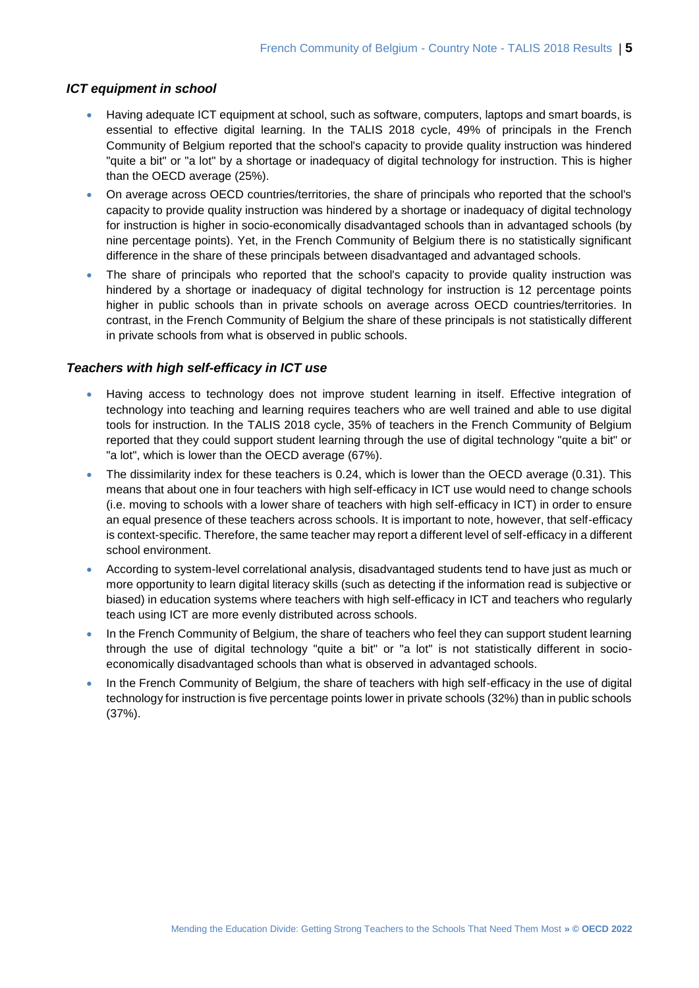# *ICT equipment in school*

- Having adequate ICT equipment at school, such as software, computers, laptops and smart boards, is essential to effective digital learning. In the TALIS 2018 cycle, 49% of principals in the French Community of Belgium reported that the school's capacity to provide quality instruction was hindered "quite a bit" or "a lot" by a shortage or inadequacy of digital technology for instruction. This is higher than the OECD average (25%).
- On average across OECD countries/territories, the share of principals who reported that the school's capacity to provide quality instruction was hindered by a shortage or inadequacy of digital technology for instruction is higher in socio-economically disadvantaged schools than in advantaged schools (by nine percentage points). Yet, in the French Community of Belgium there is no statistically significant difference in the share of these principals between disadvantaged and advantaged schools.
- The share of principals who reported that the school's capacity to provide quality instruction was hindered by a shortage or inadequacy of digital technology for instruction is 12 percentage points higher in public schools than in private schools on average across OECD countries/territories. In contrast, in the French Community of Belgium the share of these principals is not statistically different in private schools from what is observed in public schools.

# *Teachers with high self-efficacy in ICT use*

- Having access to technology does not improve student learning in itself. Effective integration of technology into teaching and learning requires teachers who are well trained and able to use digital tools for instruction. In the TALIS 2018 cycle, 35% of teachers in the French Community of Belgium reported that they could support student learning through the use of digital technology "quite a bit" or "a lot", which is lower than the OECD average (67%).
- The dissimilarity index for these teachers is 0.24, which is lower than the OECD average (0.31). This means that about one in four teachers with high self-efficacy in ICT use would need to change schools (i.e. moving to schools with a lower share of teachers with high self-efficacy in ICT) in order to ensure an equal presence of these teachers across schools. It is important to note, however, that self-efficacy is context-specific. Therefore, the same teacher may report a different level of self-efficacy in a different school environment.
- According to system-level correlational analysis, disadvantaged students tend to have just as much or more opportunity to learn digital literacy skills (such as detecting if the information read is subjective or biased) in education systems where teachers with high self-efficacy in ICT and teachers who regularly teach using ICT are more evenly distributed across schools.
- In the French Community of Belgium, the share of teachers who feel they can support student learning through the use of digital technology "quite a bit" or "a lot" is not statistically different in socioeconomically disadvantaged schools than what is observed in advantaged schools.
- In the French Community of Belgium, the share of teachers with high self-efficacy in the use of digital technology for instruction is five percentage points lower in private schools (32%) than in public schools (37%).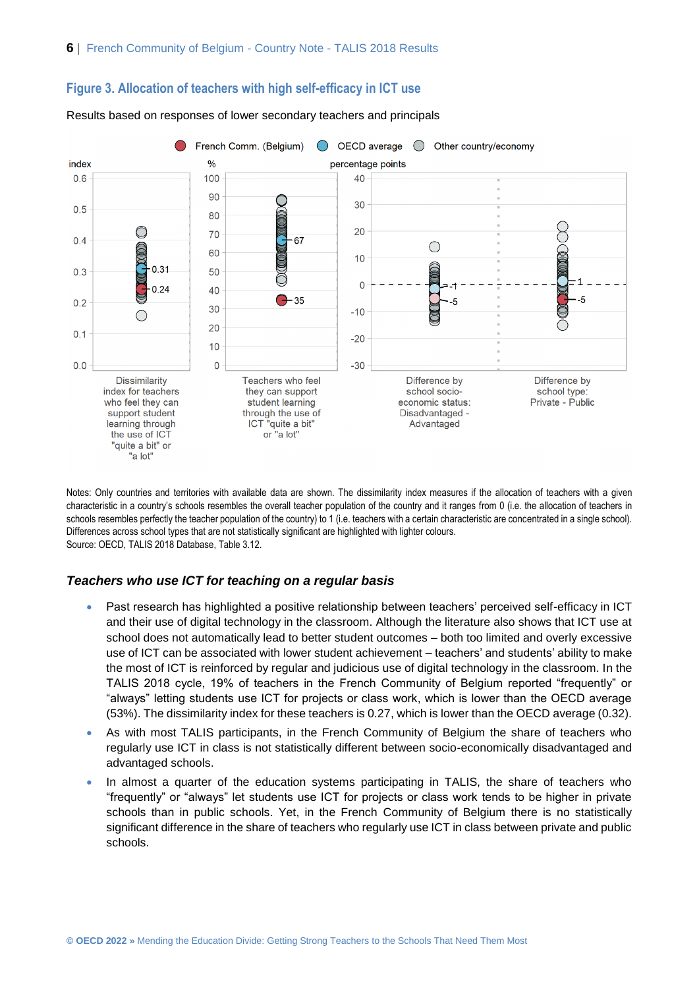# **Figure 3. Allocation of teachers with high self-efficacy in ICT use**



Results based on responses of lower secondary teachers and principals

Notes: Only countries and territories with available data are shown. The dissimilarity index measures if the allocation of teachers with a given characteristic in a country's schools resembles the overall teacher population of the country and it ranges from 0 (i.e. the allocation of teachers in schools resembles perfectly the teacher population of the country) to 1 (i.e. teachers with a certain characteristic are concentrated in a single school). Differences across school types that are not statistically significant are highlighted with lighter colours. Source: OECD, TALIS 2018 Database, Table 3.12.

#### *Teachers who use ICT for teaching on a regular basis*

- Past research has highlighted a positive relationship between teachers' perceived self-efficacy in ICT and their use of digital technology in the classroom. Although the literature also shows that ICT use at school does not automatically lead to better student outcomes – both too limited and overly excessive use of ICT can be associated with lower student achievement – teachers' and students' ability to make the most of ICT is reinforced by regular and judicious use of digital technology in the classroom. In the TALIS 2018 cycle, 19% of teachers in the French Community of Belgium reported "frequently" or "always" letting students use ICT for projects or class work, which is lower than the OECD average (53%). The dissimilarity index for these teachers is 0.27, which is lower than the OECD average (0.32).
- As with most TALIS participants, in the French Community of Belgium the share of teachers who regularly use ICT in class is not statistically different between socio-economically disadvantaged and advantaged schools.
- In almost a quarter of the education systems participating in TALIS, the share of teachers who "frequently" or "always" let students use ICT for projects or class work tends to be higher in private schools than in public schools. Yet, in the French Community of Belgium there is no statistically significant difference in the share of teachers who regularly use ICT in class between private and public schools.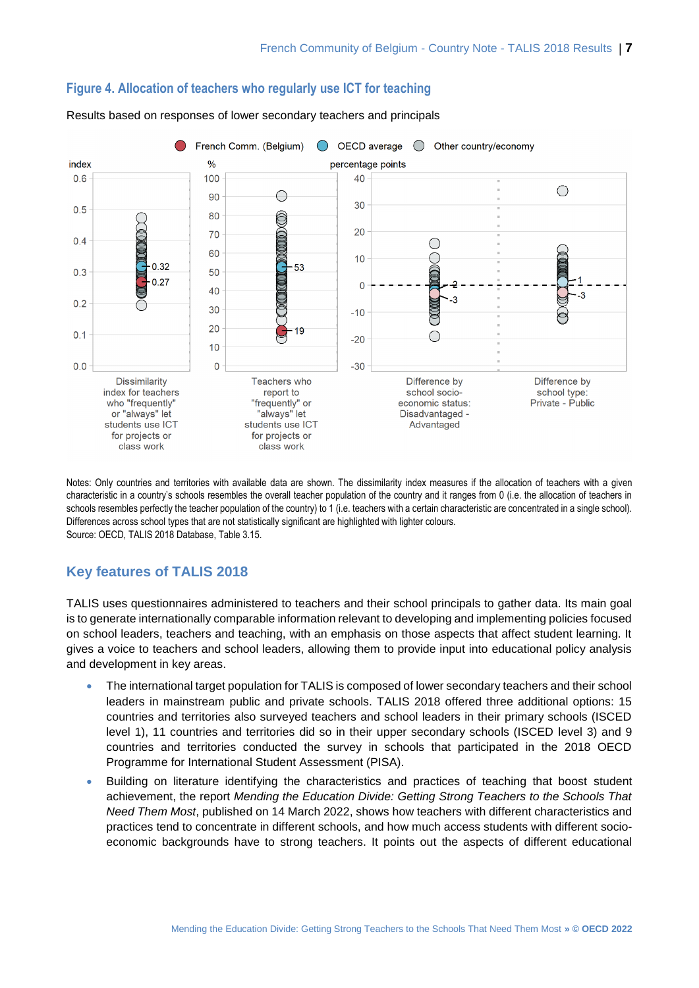

# **Figure 4. Allocation of teachers who regularly use ICT for teaching**

Results based on responses of lower secondary teachers and principals

Notes: Only countries and territories with available data are shown. The dissimilarity index measures if the allocation of teachers with a given characteristic in a country's schools resembles the overall teacher population of the country and it ranges from 0 (i.e. the allocation of teachers in schools resembles perfectly the teacher population of the country) to 1 (i.e. teachers with a certain characteristic are concentrated in a single school). Differences across school types that are not statistically significant are highlighted with lighter colours. Source: OECD, TALIS 2018 Database, Table 3.15.

# **Key features of TALIS 2018**

TALIS uses questionnaires administered to teachers and their school principals to gather data. Its main goal is to generate internationally comparable information relevant to developing and implementing policies focused on school leaders, teachers and teaching, with an emphasis on those aspects that affect student learning. It gives a voice to teachers and school leaders, allowing them to provide input into educational policy analysis and development in key areas.

- The international target population for TALIS is composed of lower secondary teachers and their school leaders in mainstream public and private schools. TALIS 2018 offered three additional options: 15 countries and territories also surveyed teachers and school leaders in their primary schools (ISCED level 1), 11 countries and territories did so in their upper secondary schools (ISCED level 3) and 9 countries and territories conducted the survey in schools that participated in the 2018 OECD Programme for International Student Assessment (PISA).
- Building on literature identifying the characteristics and practices of teaching that boost student achievement, the report *Mending the Education Divide: Getting Strong Teachers to the Schools That Need Them Most*, published on 14 March 2022, shows how teachers with different characteristics and practices tend to concentrate in different schools, and how much access students with different socioeconomic backgrounds have to strong teachers. It points out the aspects of different educational